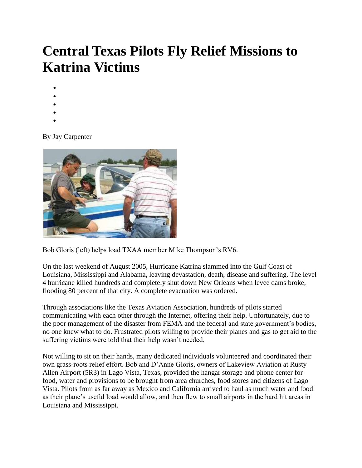## **Central Texas Pilots Fly Relief Missions to Katrina Victims**

- $\bullet$
- $\bullet$
- $\bullet$
- $\bullet$
- $\bullet$

By Jay Carpenter



Bob Gloris (left) helps load TXAA member Mike Thompson's RV6.

On the last weekend of August 2005, Hurricane Katrina slammed into the Gulf Coast of Louisiana, Mississippi and Alabama, leaving devastation, death, disease and suffering. The level 4 hurricane killed hundreds and completely shut down New Orleans when levee dams broke, flooding 80 percent of that city. A complete evacuation was ordered.

Through associations like the Texas Aviation Association, hundreds of pilots started communicating with each other through the Internet, offering their help. Unfortunately, due to the poor management of the disaster from FEMA and the federal and state government's bodies, no one knew what to do. Frustrated pilots willing to provide their planes and gas to get aid to the suffering victims were told that their help wasn't needed.

Not willing to sit on their hands, many dedicated individuals volunteered and coordinated their own grass-roots relief effort. Bob and D'Anne Gloris, owners of Lakeview Aviation at Rusty Allen Airport (5R3) in Lago Vista, Texas, provided the hangar storage and phone center for food, water and provisions to be brought from area churches, food stores and citizens of Lago Vista. Pilots from as far away as Mexico and California arrived to haul as much water and food as their plane's useful load would allow, and then flew to small airports in the hard hit areas in Louisiana and Mississippi.